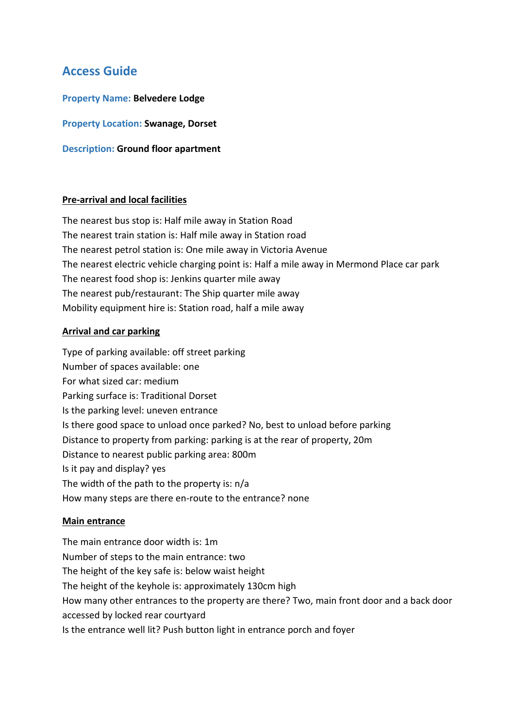# **Access Guide**

**Property Name: Belvedere Lodge**

**Property Location: Swanage, Dorset**

**Description: Ground floor apartment**

#### **Pre-arrival and local facilities**

The nearest bus stop is: Half mile away in Station Road The nearest train station is: Half mile away in Station road The nearest petrol station is: One mile away in Victoria Avenue The nearest electric vehicle charging point is: Half a mile away in Mermond Place car park The nearest food shop is: Jenkins quarter mile away The nearest pub/restaurant: The Ship quarter mile away Mobility equipment hire is: Station road, half a mile away

#### **Arrival and car parking**

Type of parking available: off street parking Number of spaces available: one For what sized car: medium Parking surface is: Traditional Dorset Is the parking level: uneven entrance Is there good space to unload once parked? No, best to unload before parking Distance to property from parking: parking is at the rear of property, 20m Distance to nearest public parking area: 800m Is it pay and display? yes The width of the path to the property is: n/a How many steps are there en-route to the entrance? none

#### **Main entrance**

The main entrance door width is: 1m Number of steps to the main entrance: two The height of the key safe is: below waist height The height of the keyhole is: approximately 130cm high How many other entrances to the property are there? Two, main front door and a back door accessed by locked rear courtyard Is the entrance well lit? Push button light in entrance porch and foyer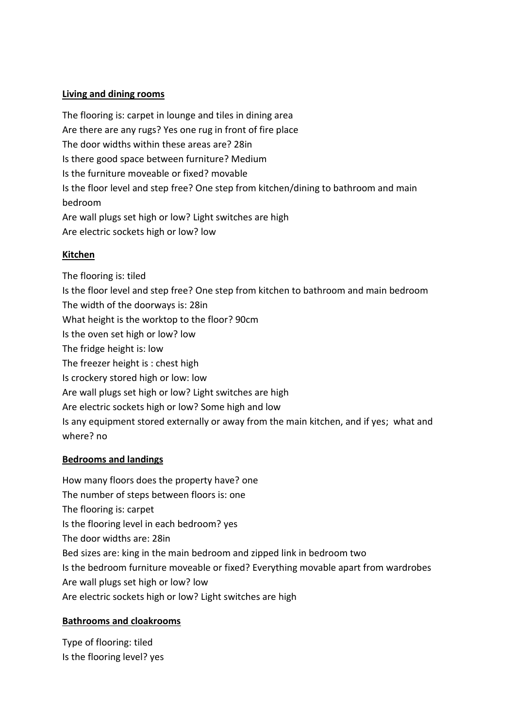#### **Living and dining rooms**

The flooring is: carpet in lounge and tiles in dining area Are there are any rugs? Yes one rug in front of fire place The door widths within these areas are? 28in Is there good space between furniture? Medium Is the furniture moveable or fixed? movable Is the floor level and step free? One step from kitchen/dining to bathroom and main bedroom Are wall plugs set high or low? Light switches are high Are electric sockets high or low? low

#### **Kitchen**

The flooring is: tiled Is the floor level and step free? One step from kitchen to bathroom and main bedroom The width of the doorways is: 28in What height is the worktop to the floor? 90cm Is the oven set high or low? low The fridge height is: low The freezer height is : chest high Is crockery stored high or low: low Are wall plugs set high or low? Light switches are high Are electric sockets high or low? Some high and low Is any equipment stored externally or away from the main kitchen, and if yes; what and where? no

# **Bedrooms and landings**

How many floors does the property have? one The number of steps between floors is: one The flooring is: carpet Is the flooring level in each bedroom? yes The door widths are: 28in Bed sizes are: king in the main bedroom and zipped link in bedroom two Is the bedroom furniture moveable or fixed? Everything movable apart from wardrobes Are wall plugs set high or low? low Are electric sockets high or low? Light switches are high

# **Bathrooms and cloakrooms**

Type of flooring: tiled Is the flooring level? yes